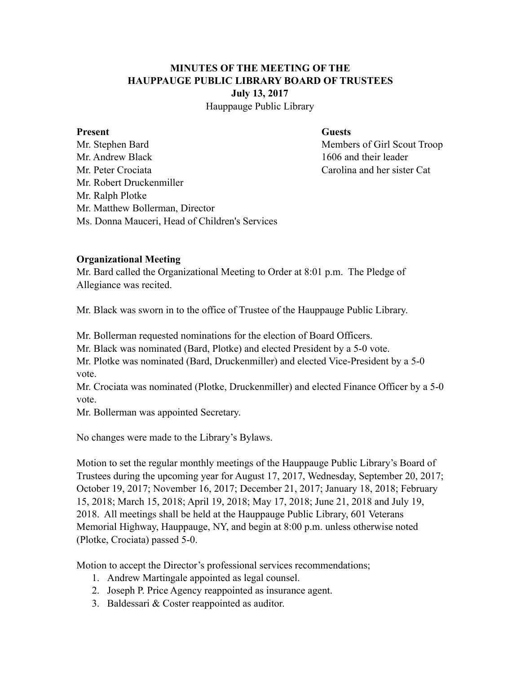# **MINUTES OF THE MEETING OF THE HAUPPAUGE PUBLIC LIBRARY BOARD OF TRUSTEES July 13, 2017**

Hauppauge Public Library

#### **Present** Guests

Mr. Stephen Bard Members of Girl Scout Troop Mr. Andrew Black 1606 and their leader Mr. Peter Crociata Carolina and her sister Cat Mr. Robert Druckenmiller Mr. Ralph Plotke Mr. Matthew Bollerman, Director Ms. Donna Mauceri, Head of Children's Services

#### **Organizational Meeting**

Mr. Bard called the Organizational Meeting to Order at 8:01 p.m. The Pledge of Allegiance was recited.

Mr. Black was sworn in to the office of Trustee of the Hauppauge Public Library.

Mr. Bollerman requested nominations for the election of Board Officers.

Mr. Black was nominated (Bard, Plotke) and elected President by a 5-0 vote.

Mr. Plotke was nominated (Bard, Druckenmiller) and elected Vice-President by a 5-0 vote.

Mr. Crociata was nominated (Plotke, Druckenmiller) and elected Finance Officer by a 5-0 vote.

Mr. Bollerman was appointed Secretary.

No changes were made to the Library's Bylaws.

Motion to set the regular monthly meetings of the Hauppauge Public Library's Board of Trustees during the upcoming year for August 17, 2017, Wednesday, September 20, 2017; October 19, 2017; November 16, 2017; December 21, 2017; January 18, 2018; February 15, 2018; March 15, 2018; April 19, 2018; May 17, 2018; June 21, 2018 and July 19, 2018. All meetings shall be held at the Hauppauge Public Library, 601 Veterans Memorial Highway, Hauppauge, NY, and begin at 8:00 p.m. unless otherwise noted (Plotke, Crociata) passed 5-0.

Motion to accept the Director's professional services recommendations;

- 1. Andrew Martingale appointed as legal counsel.
- 2. Joseph P. Price Agency reappointed as insurance agent.
- 3. Baldessari & Coster reappointed as auditor.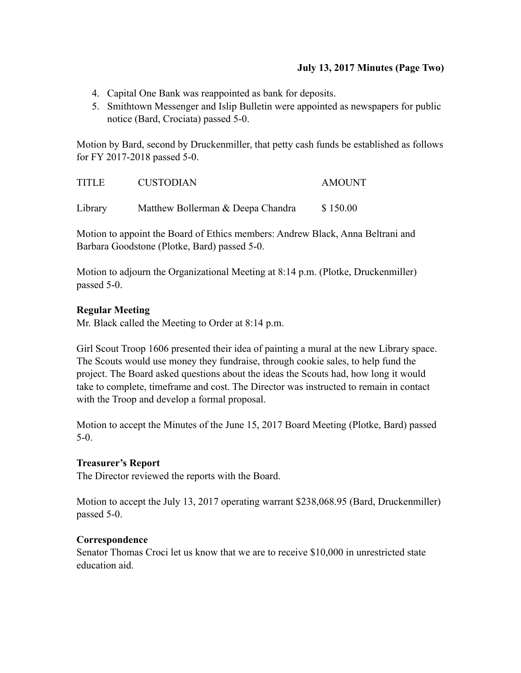## **July 13, 2017 Minutes (Page Two)**

- 4. Capital One Bank was reappointed as bank for deposits.
- 5. Smithtown Messenger and Islip Bulletin were appointed as newspapers for public notice (Bard, Crociata) passed 5-0.

Motion by Bard, second by Druckenmiller, that petty cash funds be established as follows for FY 2017-2018 passed 5-0.

| <b>TITLE</b> | <b>CUSTODIAN</b>                  | <b>AMOUNT</b> |
|--------------|-----------------------------------|---------------|
| Library      | Matthew Bollerman & Deepa Chandra | \$150.00      |

Motion to appoint the Board of Ethics members: Andrew Black, Anna Beltrani and Barbara Goodstone (Plotke, Bard) passed 5-0.

Motion to adjourn the Organizational Meeting at 8:14 p.m. (Plotke, Druckenmiller) passed 5-0.

# **Regular Meeting**

Mr. Black called the Meeting to Order at 8:14 p.m.

Girl Scout Troop 1606 presented their idea of painting a mural at the new Library space. The Scouts would use money they fundraise, through cookie sales, to help fund the project. The Board asked questions about the ideas the Scouts had, how long it would take to complete, timeframe and cost. The Director was instructed to remain in contact with the Troop and develop a formal proposal.

Motion to accept the Minutes of the June 15, 2017 Board Meeting (Plotke, Bard) passed 5-0.

## **Treasurer's Report**

The Director reviewed the reports with the Board.

Motion to accept the July 13, 2017 operating warrant \$238,068.95 (Bard, Druckenmiller) passed 5-0.

## **Correspondence**

Senator Thomas Croci let us know that we are to receive \$10,000 in unrestricted state education aid.